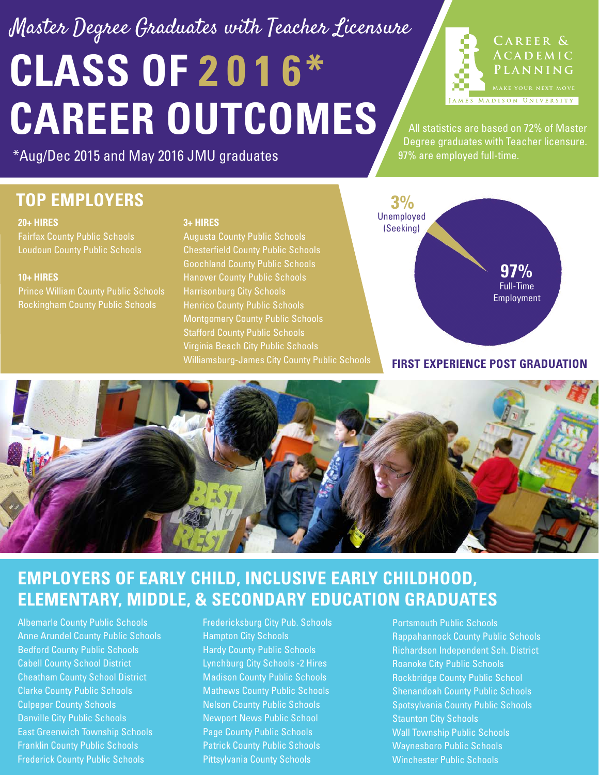# **CLASS OF 201 6\* CAREER OUTCOMES** Master Degree Graduates with Teacher Licensure Degree graduates with Teacher licensure.

**Career & ACADEMIC Planning MADISON UNIVERSITY** 

All statistics are based on 72% of Master

\*Aug/Dec 2015 and May 2016 JMU graduates

## **TOP EMPLOYERS**

#### **20+ HIRES**

Loudoun County Public Schools

#### **10+ HIRES**

Prince William County Public Schools Rockingham County Public Schools

#### **3+ HIRES**

Augusta County Public Schools Chesterfield County Public Schools Harrisonburg City Schools Montgomery County Public Schools Stafford County Public Schools Virginia Beach City Public Schools



97% are employed full-time.

#### **FIRST EXPERIENCE POST GRADUATION**



### **EMPLOYERS OF EARLY CHILD, INCLUSIVE EARLY CHILDHOOD, ELEMENTARY, MIDDLE, & SECONDARY EDUCATION GRADUATES**

Albemarle County Public Schools Anne Arundel County Public Schools Bedford County Public Schools Cabell County School District Cheatham County School District Clarke County Public Schools Culpeper County Schools Danville City Public Schools East Greenwich Township Schools Franklin County Public Schools Frederick County Public Schools

Fredericksburg City Pub. Schools Hampton City Schools Hardy County Public Schools Lynchburg City Schools -2 Hires Madison County Public Schools Mathews County Public Schools Nelson County Public Schools Newport News Public School Page County Public Schools Patrick County Public Schools Pittsylvania County Schools

Portsmouth Public Schools Rappahannock County Public Schools Richardson Independent Sch. District Roanoke City Public Schools Rockbridge County Public School Shenandoah County Public Schools Spotsylvania County Public Schools Staunton City Schools Wall Township Public Schools Waynesboro Public Schools Winchester Public Schools